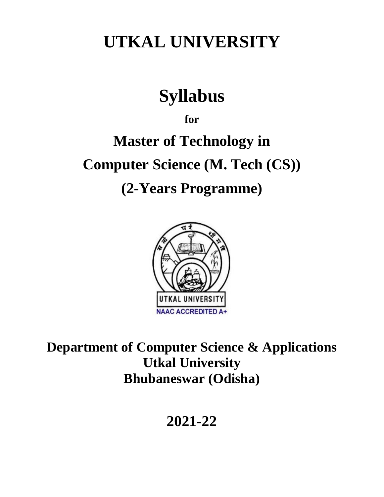## **UTKAL UNIVERSITY**

# **Syllabus**

**for**

# **Master of Technology in Computer Science (M. Tech (CS)) (2-Years Programme)**



**Department of Computer Science & Applications Utkal University Bhubaneswar (Odisha)**

**2021-22**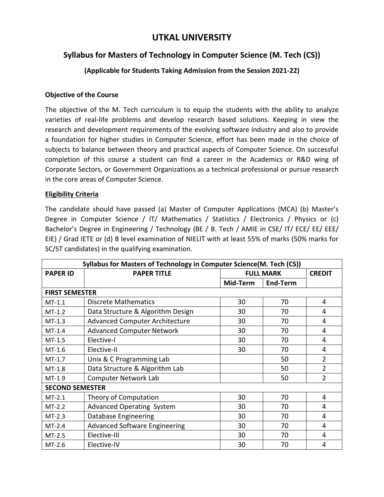## **UTKAL UNIVERSITY**

## **Syllabus for Masters of Technology in Computer Science (M. Tech (CS))**

### **(Applicable for Students Taking Admission from the Session 2021-22)**

#### **Objective of the Course**

The objective of the M. Tech curriculum is to equip the students with the ability to analyze varieties of real-life problems and develop research based solutions. Keeping in view the research and development requirements of the evolving software industry and also to provide a foundation for higher studies in Computer Science, effort has been made in the choice of subjects to balance between theory and practical aspects of Computer Science. On successful completion of this course a student can find a career in the Academics or R&D wing of Corporate Sectors, or Government Organizations as a technical professional or pursue research in the core areas of Computer Science.

#### **Eligibility Criteria**

The candidate should have passed (a) Master of Computer Applications (MCA) (b) Master's Degree in Computer Science / IT/ Mathematics / Statistics / Electronics / Physics or (c) Bachelor's Degree in Engineering / Technology (BE / B. Tech / AMIE in CSE/ IT/ ECE/ EE/ EEE/ EIE) / Grad IETE or (d) B level examination of NIELIT with at least 55% of marks (50% marks for SC/ST candidates) in the qualifying examination.

| Syllabus for Masters of Technology in Computer Science(M. Tech (CS)) |                                       |                                   |                 |                |  |  |
|----------------------------------------------------------------------|---------------------------------------|-----------------------------------|-----------------|----------------|--|--|
| <b>PAPER ID</b>                                                      | <b>PAPER TITLE</b>                    | <b>FULL MARK</b><br><b>CREDIT</b> |                 |                |  |  |
|                                                                      |                                       | Mid-Term                          | <b>End-Term</b> |                |  |  |
| <b>FIRST SEMESTER</b>                                                |                                       |                                   |                 |                |  |  |
| $MT-1.1$                                                             | <b>Discrete Mathematics</b>           | 30                                | 70              | 4              |  |  |
| $MT-1.2$                                                             | Data Structure & Algorithm Design     | 30                                | 70              | 4              |  |  |
| $MT-1.3$                                                             | <b>Advanced Computer Architecture</b> | 30                                | 70              | 4              |  |  |
| $MT-1.4$                                                             | <b>Advanced Computer Network</b>      | 30                                | 70              | 4              |  |  |
| $MT-1.5$                                                             | Elective-I                            | 30                                | 70              | 4              |  |  |
| $MT-1.6$                                                             | Elective-II                           | 30                                | 70              | 4              |  |  |
| $MT-1.7$                                                             | Unix & C Programming Lab              |                                   | 50              | $\overline{2}$ |  |  |
| $MT-1.8$                                                             | Data Structure & Algorithm Lab        |                                   | 50              | $\overline{2}$ |  |  |
| $MT-1.9$                                                             | <b>Computer Network Lab</b>           |                                   | 50              | $\overline{2}$ |  |  |
| <b>SECOND SEMESTER</b>                                               |                                       |                                   |                 |                |  |  |
| $MT-2.1$                                                             | Theory of Computation                 | 30                                | 70              | 4              |  |  |
| $MT-2.2$                                                             | <b>Advanced Operating System</b>      | 30                                | 70              | 4              |  |  |
| $MT-2.3$                                                             | Database Engineering                  | 30                                | 70              | 4              |  |  |
| $MT-2.4$                                                             | <b>Advanced Software Engineering</b>  | 30                                | 70              | 4              |  |  |
| $MT-2.5$                                                             | Elective-III                          | 30                                | 70              | 4              |  |  |
| $MT-2.6$                                                             | Elective-IV                           | 30                                | 70              | 4              |  |  |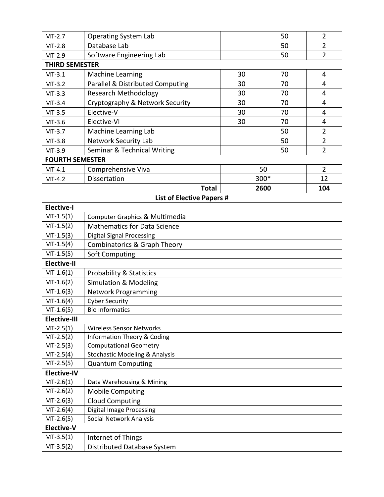| MT-2.7                 | <b>Operating System Lab</b>      |                      | 50   | 2              |  |  |
|------------------------|----------------------------------|----------------------|------|----------------|--|--|
| $MT-2.8$               | Database Lab                     |                      | 50   | $\overline{2}$ |  |  |
| $MT-2.9$               | Software Engineering Lab         |                      | 50   | $\overline{2}$ |  |  |
| <b>THIRD SEMESTER</b>  |                                  |                      |      |                |  |  |
| $MT-3.1$               | <b>Machine Learning</b>          | 30                   | 70   | 4              |  |  |
| $MT-3.2$               | Parallel & Distributed Computing | 30                   | 70   | 4              |  |  |
| $MT-3.3$               | <b>Research Methodology</b>      | 30                   | 70   | 4              |  |  |
| $MT-3.4$               | Cryptography & Network Security  | 30                   | 70   | 4              |  |  |
| $MT-3.5$               | Elective-V                       | 30                   | 70   | 4              |  |  |
| MT-3.6                 | Elective-VI                      | 30                   | 70   | 4              |  |  |
| MT-3.7                 | Machine Learning Lab             |                      | 50   | $\overline{2}$ |  |  |
| MT-3.8                 | <b>Network Security Lab</b>      |                      | 50   | $\overline{2}$ |  |  |
| MT-3.9                 | Seminar & Technical Writing      |                      | 50   | $\overline{2}$ |  |  |
| <b>FOURTH SEMESTER</b> |                                  |                      |      |                |  |  |
| $MT-4.1$               | Comprehensive Viva               | $\overline{2}$<br>50 |      |                |  |  |
| MT-4.2                 | <b>Dissertation</b>              | 300*<br>12           |      |                |  |  |
|                        | Total                            |                      | 2600 | 104            |  |  |

|  |  | <b>List of Elective Papers #</b> |  |  |
|--|--|----------------------------------|--|--|
|  |  |                                  |  |  |

 $\overline{\phantom{a}}$ 

 $\mathbf{r}$ 

| <b>Elective-I</b>   |                                           |
|---------------------|-------------------------------------------|
| $MT-1.5(1)$         | Computer Graphics & Multimedia            |
| $MT-1.5(2)$         | <b>Mathematics for Data Science</b>       |
| $MT-1.5(3)$         | <b>Digital Signal Processing</b>          |
| $MT-1.5(4)$         | Combinatorics & Graph Theory              |
| $MT-1.5(5)$         | <b>Soft Computing</b>                     |
| <b>Elective-II</b>  |                                           |
| $MT-1.6(1)$         | <b>Probability &amp; Statistics</b>       |
| $MT-1.6(2)$         | <b>Simulation &amp; Modeling</b>          |
| $MT-1.6(3)$         | <b>Network Programming</b>                |
| $MT-1.6(4)$         | <b>Cyber Security</b>                     |
| $MT-1.6(5)$         | <b>Bio Informatics</b>                    |
| <b>Elective-III</b> |                                           |
| $MT-2.5(1)$         | <b>Wireless Sensor Networks</b>           |
| $MT-2.5(2)$         | Information Theory & Coding               |
| $MT-2.5(3)$         | <b>Computational Geometry</b>             |
| $MT-2.5(4)$         | <b>Stochastic Modeling &amp; Analysis</b> |
| $MT-2.5(5)$         | <b>Quantum Computing</b>                  |
| <b>Elective-IV</b>  |                                           |
| $MT-2.6(1)$         | Data Warehousing & Mining                 |
| $MT-2.6(2)$         | <b>Mobile Computing</b>                   |
| $MT-2.6(3)$         | <b>Cloud Computing</b>                    |
| $MT-2.6(4)$         | Digital Image Processing                  |
| $MT-2.6(5)$         | Social Network Analysis                   |
| <b>Elective-V</b>   |                                           |
| $MT-3.5(1)$         | Internet of Things                        |
| $MT-3.5(2)$         | Distributed Database System               |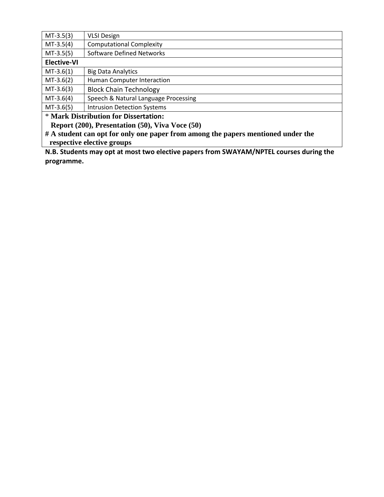| $MT-3.5(3)$                                              | <b>VLSI Design</b>                   |  |  |
|----------------------------------------------------------|--------------------------------------|--|--|
| $MT-3.5(4)$                                              | <b>Computational Complexity</b>      |  |  |
| $MT-3.5(5)$                                              | Software Defined Networks            |  |  |
| <b>Elective-VI</b>                                       |                                      |  |  |
| $MT-3.6(1)$                                              | <b>Big Data Analytics</b>            |  |  |
| $MT-3.6(2)$                                              | Human Computer Interaction           |  |  |
| $MT-3.6(3)$                                              | <b>Block Chain Technology</b>        |  |  |
| $MT-3.6(4)$                                              | Speech & Natural Language Processing |  |  |
| $MT-3.6(5)$                                              | <b>Intrusion Detection Systems</b>   |  |  |
| * Mark Distribution for Dissertation:                    |                                      |  |  |
| <b>Report (200)</b> Presentation $(50)$ Viva Voce $(50)$ |                                      |  |  |

 **Report (200), Presentation (50), Viva Voce (50) # A student can opt for only one paper from among the papers mentioned under the respective elective groups**

**N.B. Students may opt at most two elective papers from SWAYAM/NPTEL courses during the programme.**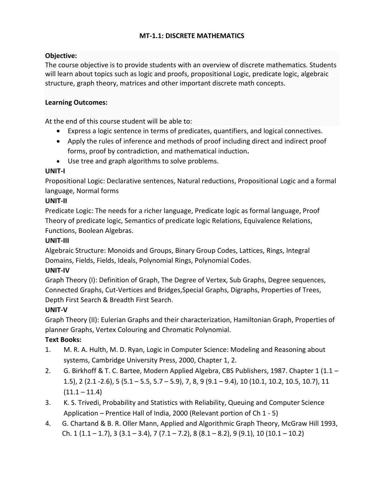#### **MT-1.1: DISCRETE MATHEMATICS**

#### **Objective:**

The course objective is to provide students with an overview of discrete mathematics. Students will learn about topics such as logic and proofs, propositional Logic, predicate logic, algebraic structure, graph theory, matrices and other important discrete math concepts.

#### **Learning Outcomes:**

At the end of this course student will be able to:

- Express a logic sentence in terms of predicates, quantifiers, and logical connectives.
- Apply the rules of inference and methods of proof including direct and indirect proof forms, proof by contradiction, and mathematical induction**.**
- Use tree and graph algorithms to solve problems.

#### **UNIT-I**

Propositional Logic: Declarative sentences, Natural reductions, Propositional Logic and a formal language, Normal forms

#### **UNIT-II**

Predicate Logic: The needs for a richer language, Predicate logic as formal language, Proof Theory of predicate logic, Semantics of predicate logic Relations, Equivalence Relations, Functions, Boolean Algebras.

#### **UNIT-III**

Algebraic Structure: Monoids and Groups, Binary Group Codes, Lattices, Rings, Integral Domains, Fields, Fields, Ideals, Polynomial Rings, Polynomial Codes.

#### **UNIT-IV**

Graph Theory (I): Definition of Graph, The Degree of Vertex, Sub Graphs, Degree sequences, Connected Graphs, Cut-Vertices and Bridges,Special Graphs, Digraphs, Properties of Trees, Depth First Search & Breadth First Search.

#### **UNIT-V**

Graph Theory (II): Eulerian Graphs and their characterization, Hamiltonian Graph, Properties of planner Graphs, Vertex Colouring and Chromatic Polynomial.

- 1. M. R. A. Hulth, M. D. Ryan, Logic in Computer Science: Modeling and Reasoning about systems, Cambridge University Press, 2000, Chapter 1, 2.
- 2. G. Birkhoff & T. C. Bartee, Modern Applied Algebra, CBS Publishers, 1987. Chapter 1 (1.1 -1.5), 2 (2.1 -2.6), 5 (5.1 – 5.5, 5.7 – 5.9), 7, 8, 9 (9.1 – 9.4), 10 (10.1, 10.2, 10.5, 10.7), 11  $(11.1 - 11.4)$
- 3. K. S. Trivedi, Probability and Statistics with Reliability, Queuing and Computer Science Application – Prentice Hall of India, 2000 (Relevant portion of Ch 1 - 5)
- 4. G. Chartand & B. R. Oller Mann, Applied and Algorithmic Graph Theory, McGraw Hill 1993, Ch.  $1(1.1 - 1.7)$ ,  $3(3.1 - 3.4)$ ,  $7(7.1 - 7.2)$ ,  $8(8.1 - 8.2)$ ,  $9(9.1)$ ,  $10(10.1 - 10.2)$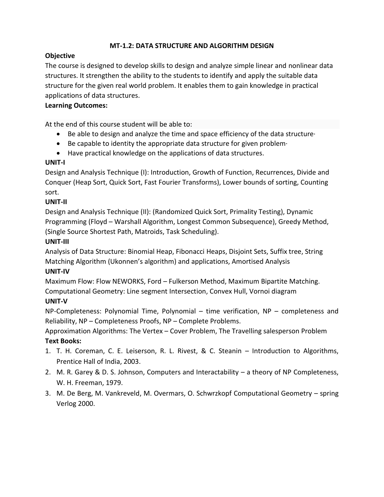#### **MT-1.2: DATA STRUCTURE AND ALGORITHM DESIGN**

#### **Objective**

The course is designed to develop skills to design and analyze simple linear and nonlinear data structures. It strengthen the ability to the students to identify and apply the suitable data structure for the given real world problem. It enables them to gain knowledge in practical applications of data structures.

#### **Learning Outcomes:**

At the end of this course student will be able to:

- Be able to design and analyze the time and space efficiency of the data structure·
- $\bullet$  Be capable to identity the appropriate data structure for given problem
- Have practical knowledge on the applications of data structures.

#### **UNIT-I**

Design and Analysis Technique (I): Introduction, Growth of Function, Recurrences, Divide and Conquer (Heap Sort, Quick Sort, Fast Fourier Transforms), Lower bounds of sorting, Counting sort.

#### **UNIT-II**

Design and Analysis Technique (II): (Randomized Quick Sort, Primality Testing), Dynamic Programming (Floyd – Warshall Algorithm, Longest Common Subsequence), Greedy Method, (Single Source Shortest Path, Matroids, Task Scheduling).

#### **UNIT-III**

Analysis of Data Structure: Binomial Heap, Fibonacci Heaps, Disjoint Sets, Suffix tree, String Matching Algorithm (Ukonnen's algorithm) and applications, Amortised Analysis

#### **UNIT-IV**

Maximum Flow: Flow NEWORKS, Ford – Fulkerson Method, Maximum Bipartite Matching. Computational Geometry: Line segment Intersection, Convex Hull, Vornoi diagram **UNIT-V**

NP-Completeness: Polynomial Time, Polynomial – time verification, NP – completeness and Reliability, NP – Completeness Proofs, NP – Complete Problems.

Approximation Algorithms: The Vertex – Cover Problem, The Travelling salesperson Problem **Text Books:**

- 1. T. H. Coreman, C. E. Leiserson, R. L. Rivest, & C. Steanin Introduction to Algorithms, Prentice Hall of India, 2003.
- 2. M. R. Garey & D. S. Johnson, Computers and Interactability a theory of NP Completeness, W. H. Freeman, 1979.
- 3. M. De Berg, M. Vankreveld, M. Overmars, O. Schwrzkopf Computational Geometry spring Verlog 2000.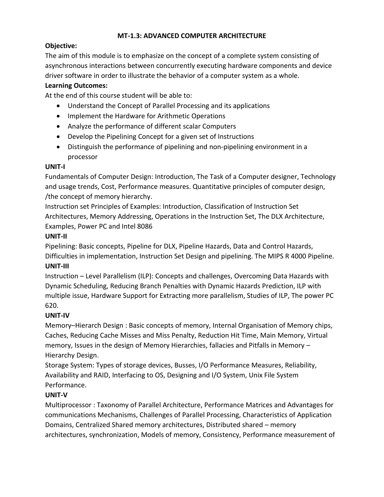## **MT-1.3: ADVANCED COMPUTER ARCHITECTURE**

## **Objective:**

The aim of this module is to emphasize on the concept of a complete system consisting of asynchronous interactions between concurrently executing hardware components and device driver software in order to illustrate the behavior of a computer system as a whole.

## **Learning Outcomes:**

At the end of this course student will be able to:

- Understand the Concept of Parallel Processing and its applications
- Implement the Hardware for Arithmetic Operations
- Analyze the performance of different scalar Computers
- Develop the Pipelining Concept for a given set of Instructions
- Distinguish the performance of pipelining and non-pipelining environment in a processor

#### **UNIT-I**

Fundamentals of Computer Design: Introduction, The Task of a Computer designer, Technology and usage trends, Cost, Performance measures. Quantitative principles of computer design, /the concept of memory hierarchy.

Instruction set Principles of Examples: Introduction, Classification of Instruction Set Architectures, Memory Addressing, Operations in the Instruction Set, The DLX Architecture, Examples, Power PC and Intel 8086

## **UNIT-II**

Pipelining: Basic concepts, Pipeline for DLX, Pipeline Hazards, Data and Control Hazards,

Difficulties in implementation, Instruction Set Design and pipelining. The MIPS R 4000 Pipeline. **UNIT-III**

Instruction – Level Parallelism (ILP): Concepts and challenges, Overcoming Data Hazards with Dynamic Scheduling, Reducing Branch Penalties with Dynamic Hazards Prediction, ILP with multiple issue, Hardware Support for Extracting more parallelism, Studies of ILP, The power PC 620.

#### **UNIT-IV**

Memory–Hierarch Design : Basic concepts of memory, Internal Organisation of Memory chips, Caches, Reducing Cache Misses and Miss Penalty, Reduction Hit Time, Main Memory, Virtual memory, Issues in the design of Memory Hierarchies, fallacies and Pitfalls in Memory – Hierarchy Design.

Storage System: Types of storage devices, Busses, I/O Performance Measures, Reliability, Availability and RAID, Interfacing to OS, Designing and I/O System, Unix File System Performance.

## **UNIT-V**

Multiprocessor : Taxonomy of Parallel Architecture, Performance Matrices and Advantages for communications Mechanisms, Challenges of Parallel Processing, Characteristics of Application Domains, Centralized Shared memory architectures, Distributed shared – memory architectures, synchronization, Models of memory, Consistency, Performance measurement of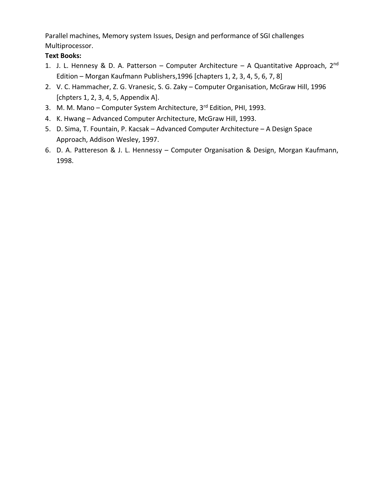Parallel machines, Memory system Issues, Design and performance of SGI challenges Multiprocessor.

- 1. J. L. Hennesy & D. A. Patterson Computer Architecture A Quantitative Approach, 2<sup>nd</sup> Edition – Morgan Kaufmann Publishers,1996 [chapters 1, 2, 3, 4, 5, 6, 7, 8]
- 2. V. C. Hammacher, Z. G. Vranesic, S. G. Zaky Computer Organisation, McGraw Hill, 1996 [chpters 1, 2, 3, 4, 5, Appendix A].
- 3. M. M. Mano Computer System Architecture,  $3<sup>rd</sup>$  Edition, PHI, 1993.
- 4. K. Hwang Advanced Computer Architecture, McGraw Hill, 1993.
- 5. D. Sima, T. Fountain, P. Kacsak Advanced Computer Architecture A Design Space Approach, Addison Wesley, 1997.
- 6. D. A. Pattereson & J. L. Hennessy Computer Organisation & Design, Morgan Kaufmann, 1998.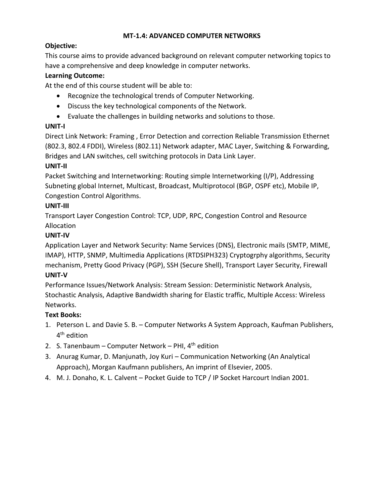### **MT-1.4: ADVANCED COMPUTER NETWORKS**

## **Objective:**

This course aims to provide advanced background on relevant computer networking topics to have a comprehensive and deep knowledge in computer networks.

## **Learning Outcome:**

At the end of this course student will be able to:

- Recognize the technological trends of Computer Networking.
- Discuss the key technological components of the Network.
- Evaluate the challenges in building networks and solutions to those.

## **UNIT-I**

Direct Link Network: Framing , Error Detection and correction Reliable Transmission Ethernet (802.3, 802.4 FDDI), Wireless (802.11) Network adapter, MAC Layer, Switching & Forwarding, Bridges and LAN switches, cell switching protocols in Data Link Layer.

## **UNIT-II**

Packet Switching and Internetworking: Routing simple Internetworking (I/P), Addressing Subneting global Internet, Multicast, Broadcast, Multiprotocol (BGP, OSPF etc), Mobile IP, Congestion Control Algorithms.

## **UNIT-III**

Transport Layer Congestion Control: TCP, UDP, RPC, Congestion Control and Resource Allocation

## **UNIT-IV**

Application Layer and Network Security: Name Services (DNS), Electronic mails (SMTP, MIME, IMAP), HTTP, SNMP, Multimedia Applications (RTDSIPH323) Cryptogrphy algorithms, Security mechanism, Pretty Good Privacy (PGP), SSH (Secure Shell), Transport Layer Security, Firewall **UNIT-V**

Performance Issues/Network Analysis: Stream Session: Deterministic Network Analysis, Stochastic Analysis, Adaptive Bandwidth sharing for Elastic traffic, Multiple Access: Wireless Networks.

- 1. Peterson L. and Davie S. B. Computer Networks A System Approach, Kaufman Publishers, 4<sup>th</sup> edition
- 2. S. Tanenbaum Computer Network PHI,  $4<sup>th</sup>$  edition
- 3. Anurag Kumar, D. Manjunath, Joy Kuri Communication Networking (An Analytical Approach), Morgan Kaufmann publishers, An imprint of Elsevier, 2005.
- 4. M. J. Donaho, K. L. Calvent Pocket Guide to TCP / IP Socket Harcourt Indian 2001.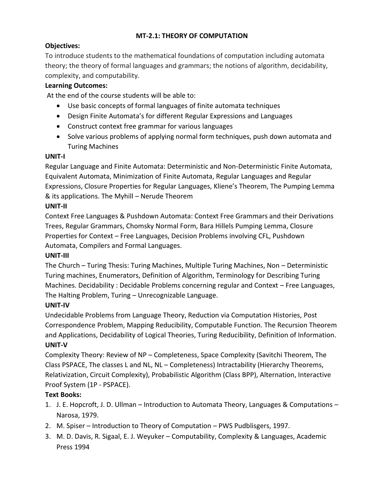## **MT-2.1: THEORY OF COMPUTATION**

## **Objectives:**

To introduce students to the mathematical foundations of computation including automata theory; the theory of formal languages and grammars; the notions of algorithm, decidability, complexity, and computability.

## **Learning Outcomes:**

At the end of the course students will be able to:

- Use basic concepts of formal languages of finite automata techniques
- Design Finite Automata's for different Regular Expressions and Languages
- Construct context free grammar for various languages
- Solve various problems of applying normal form techniques, push down automata and Turing Machines

#### **UNIT-I**

Regular Language and Finite Automata: Deterministic and Non-Deterministic Finite Automata, Equivalent Automata, Minimization of Finite Automata, Regular Languages and Regular Expressions, Closure Properties for Regular Languages, Kliene's Theorem, The Pumping Lemma & its applications. The Myhill – Nerude Theorem

#### **UNIT-II**

Context Free Languages & Pushdown Automata: Context Free Grammars and their Derivations Trees, Regular Grammars, Chomsky Normal Form, Bara Hillels Pumping Lemma, Closure Properties for Context – Free Languages, Decision Problems involving CFL, Pushdown Automata, Compilers and Formal Languages.

#### **UNIT-III**

The Church – Turing Thesis: Turing Machines, Multiple Turing Machines, Non – Deterministic Turing machines, Enumerators, Definition of Algorithm, Terminology for Describing Turing Machines. Decidability : Decidable Problems concerning regular and Context – Free Languages, The Halting Problem, Turing – Unrecognizable Language.

## **UNIT-IV**

Undecidable Problems from Language Theory, Reduction via Computation Histories, Post Correspondence Problem, Mapping Reducibility, Computable Function. The Recursion Theorem and Applications, Decidability of Logical Theories, Turing Reducibility, Definition of Information. **UNIT-V**

Complexity Theory: Review of NP – Completeness, Space Complexity (Savitchi Theorem, The Class PSPACE, The classes L and NL, NL – Completeness) Intractability (Hierarchy Theorems, Relativization, Circuit Complexity), Probabilistic Algorithm (Class BPP), Alternation, Interactive Proof System (1P - PSPACE).

- 1. J. E. Hopcroft, J. D. Ullman Introduction to Automata Theory, Languages & Computations Narosa, 1979.
- 2. M. Spiser Introduction to Theory of Computation PWS Pudblisgers, 1997.
- 3. M. D. Davis, R. Sigaal, E. J. Weyuker Computability, Complexity & Languages, Academic Press 1994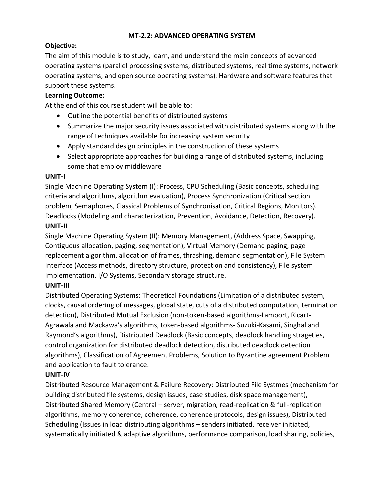#### **MT-2.2: ADVANCED OPERATING SYSTEM**

## **Objective:**

The aim of this module is to study, learn, and understand the main concepts of advanced operating systems (parallel processing systems, distributed systems, real time systems, network operating systems, and open source operating systems); Hardware and software features that support these systems.

### **Learning Outcome:**

At the end of this course student will be able to:

- Outline the potential benefits of distributed systems
- Summarize the major security issues associated with distributed systems along with the range of techniques available for increasing system security
- Apply standard design principles in the construction of these systems
- Select appropriate approaches for building a range of distributed systems, including some that employ middleware

#### **UNIT-I**

Single Machine Operating System (I): Process, CPU Scheduling (Basic concepts, scheduling criteria and algorithms, algorithm evaluation), Process Synchronization (Critical section problem, Semaphores, Classical Problems of Synchronisation, Critical Regions, Monitors). Deadlocks (Modeling and characterization, Prevention, Avoidance, Detection, Recovery). **UNIT-II**

Single Machine Operating System (II): Memory Management, (Address Space, Swapping, Contiguous allocation, paging, segmentation), Virtual Memory (Demand paging, page replacement algorithm, allocation of frames, thrashing, demand segmentation), File System Interface (Access methods, directory structure, protection and consistency), File system Implementation, I/O Systems, Secondary storage structure.

#### **UNIT-III**

Distributed Operating Systems: Theoretical Foundations (Limitation of a distributed system, clocks, causal ordering of messages, global state, cuts of a distributed computation, termination detection), Distributed Mutual Exclusion (non-token-based algorithms-Lamport, Ricart-Agrawala and Mackawa's algorithms, token-based algorithms- Suzuki-Kasami, Singhal and Raymond's algorithms), Distributed Deadlock (Basic concepts, deadlock handling strageties, control organization for distributed deadlock detection, distributed deadlock detection algorithms), Classification of Agreement Problems, Solution to Byzantine agreement Problem and application to fault tolerance.

#### **UNIT-IV**

Distributed Resource Management & Failure Recovery: Distributed File Systmes (mechanism for building distributed file systems, design issues, case studies, disk space management), Distributed Shared Memory (Central – server, migration, read-replication & full-replication algorithms, memory coherence, coherence, coherence protocols, design issues), Distributed Scheduling (Issues in load distributing algorithms – senders initiated, receiver initiated, systematically initiated & adaptive algorithms, performance comparison, load sharing, policies,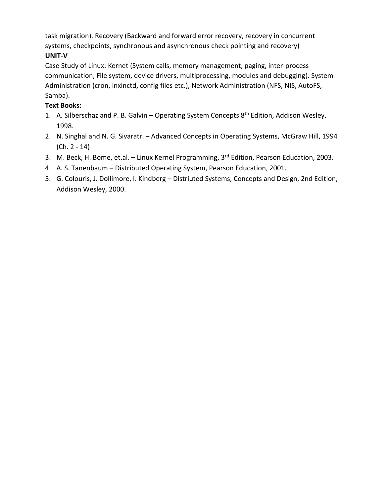task migration). Recovery (Backward and forward error recovery, recovery in concurrent systems, checkpoints, synchronous and asynchronous check pointing and recovery) **UNIT-V**

Case Study of Linux: Kernet (System calls, memory management, paging, inter-process communication, File system, device drivers, multiprocessing, modules and debugging). System Administration (cron, inxinctd, config files etc.), Network Administration (NFS, NIS, AutoFS, Samba).

- 1. A. Silberschaz and P. B. Galvin Operating System Concepts 8<sup>th</sup> Edition, Addison Wesley, 1998.
- 2. N. Singhal and N. G. Sivaratri Advanced Concepts in Operating Systems, McGraw Hill, 1994 (Ch. 2 - 14)
- 3. M. Beck, H. Bome, et.al. Linux Kernel Programming, 3<sup>rd</sup> Edition, Pearson Education, 2003.
- 4. A. S. Tanenbaum Distributed Operating System, Pearson Education, 2001.
- 5. G. Colouris, J. Dollimore, I. Kindberg Distriuted Systems, Concepts and Design, 2nd Edition, Addison Wesley, 2000.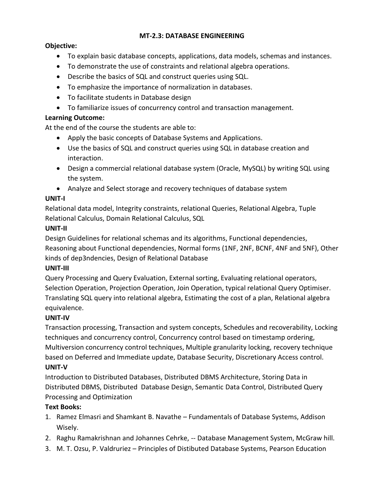#### **MT-2.3: DATABASE ENGINEERING**

#### **Objective:**

- To explain basic database concepts, applications, data models, schemas and instances.
- To demonstrate the use of constraints and relational algebra operations.
- Describe the basics of SQL and construct queries using SQL.
- To emphasize the importance of normalization in databases.
- To facilitate students in Database design
- To familiarize issues of concurrency control and transaction management.

#### **Learning Outcome:**

At the end of the course the students are able to:

- Apply the basic concepts of Database Systems and Applications.
- Use the basics of SQL and construct queries using SQL in database creation and interaction.
- Design a commercial relational database system (Oracle, MySQL) by writing SQL using the system.
- Analyze and Select storage and recovery techniques of database system

#### **UNIT-I**

Relational data model, Integrity constraints, relational Queries, Relational Algebra, Tuple Relational Calculus, Domain Relational Calculus, SQL

#### **UNIT-II**

Design Guidelines for relational schemas and its algorithms, Functional dependencies, Reasoning about Functional dependencies, Normal forms (1NF, 2NF, BCNF, 4NF and 5NF), Other kinds of dep3ndencies, Design of Relational Database

#### **UNIT-III**

Query Processing and Query Evaluation, External sorting, Evaluating relational operators, Selection Operation, Projection Operation, Join Operation, typical relational Query Optimiser. Translating SQL query into relational algebra, Estimating the cost of a plan, Relational algebra equivalence.

#### **UNIT-IV**

Transaction processing, Transaction and system concepts, Schedules and recoverability, Locking techniques and concurrency control, Concurrency control based on timestamp ordering, Multiversion concurrency control techniques, Multiple granularity locking, recovery technique based on Deferred and Immediate update, Database Security, Discretionary Access control. **UNIT-V**

Introduction to Distributed Databases, Distributed DBMS Architecture, Storing Data in Distributed DBMS, Distributed Database Design, Semantic Data Control, Distributed Query Processing and Optimization

- 1. Ramez Elmasri and Shamkant B. Navathe Fundamentals of Database Systems, Addison Wisely.
- 2. Raghu Ramakrishnan and Johannes Cehrke, -- Database Management System, McGraw hill.
- 3. M. T. Ozsu, P. Valdruriez Principles of Distibuted Database Systems, Pearson Education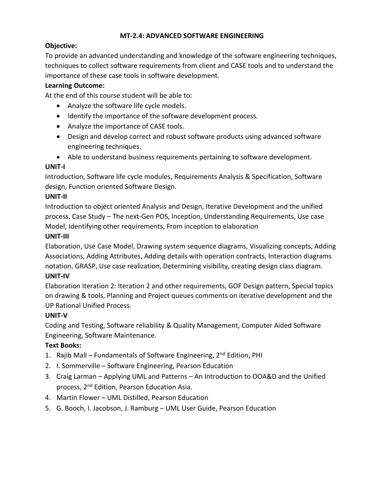#### **MT-2.4: ADVANCED SOFTWARE ENGINEERING**

## **Objective:**

To provide an advanced understanding and knowledge of the software engineering techniques, techniques to collect software requirements from client and CASE tools and to understand the importance of these case tools in software development.

## **Learning Outcome:**

At the end of this course student will be able to:

- Analyze the software life cycle models.
- Identify the importance of the software development process.
- Analyze the importance of CASE tools.
- Design and develop correct and robust software products using advanced software engineering techniques.
- Able to understand business requirements pertaining to software development.

## **UNIT-I**

Introduction, Software life cycle modules, Requirements Analysis & Specification, Software design, Function oriented Software Design.

## **UNIT-II**

Introduction to object oriented Analysis and Design, Iterative Development and the unified process, Case Study – The next-Gen POS, Inception, Understanding Requirements, Use case Model, Identifying other requirements, From inception to elaboration

## **UNIT-III**

Elaboration, Use Case Model, Drawing system sequence diagrams, Visualizing concepts, Adding Associations, Adding Attributes, Adding details with operation contracts, Interaction diagrams notation, GRASP, Use case realization, Determining visibility, creating design class diagram.

#### **UNIT-IV**

Elaboration Iteration 2: Iteration 2 and other requirements, GOF Design pattern, Special topics on drawing & tools, Planning and Project queues comments on iterative development and the UP Rational Unified Process.

## **UNIT-V**

Coding and Testing, Software reliability & Quality Management, Computer Aided Software Engineering, Software Maintenance.

- 1. Rajib Mall Fundamentals of Software Engineering, 2<sup>nd</sup> Edition, PHI
- 2. I. Sommerville Software Engineering, Pearson Education
- 3. Craig Larman Applying UML and Patterns An Introduction to OOA&D and the Unified process, 2nd Edition, Pearson Education Asia.
- 4. Martin Flower UML Distilled, Pearson Education
- 5. G. Booch, I. Jacobson, J. Ramburg UML User Guide, Pearson Education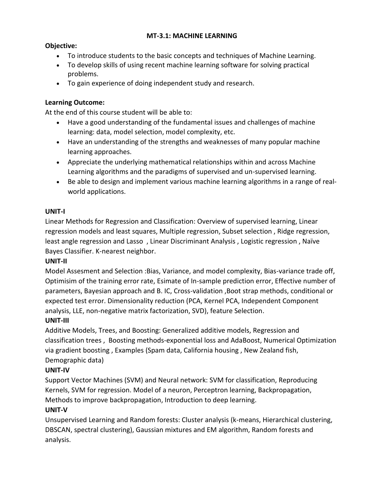#### **MT-3.1: MACHINE LEARNING**

## **Objective:**

- To introduce students to the basic concepts and techniques of Machine Learning.
- To develop skills of using recent machine learning software for solving practical problems.
- To gain experience of doing independent study and research.

### **Learning Outcome:**

At the end of this course student will be able to:

- Have a good understanding of the fundamental issues and challenges of machine learning: data, model selection, model complexity, etc.
- Have an understanding of the strengths and weaknesses of many popular machine learning approaches.
- Appreciate the underlying mathematical relationships within and across Machine Learning algorithms and the paradigms of supervised and un-supervised learning.
- Be able to design and implement various machine learning algorithms in a range of realworld applications.

## **UNIT-I**

Linear Methods for Regression and Classification: Overview of supervised learning, Linear regression models and least squares, Multiple regression, Subset selection , Ridge regression, least angle regression and Lasso , Linear Discriminant Analysis , Logistic regression , Naïve Bayes Classifier. K-nearest neighbor.

#### **UNIT-II**

Model Assesment and Selection :Bias, Variance, and model complexity, Bias-variance trade off, Optimisim of the training error rate, Esimate of In-sample prediction error, Effective number of parameters, Bayesian approach and B. IC, Cross-validation ,Boot strap methods, conditional or expected test error. Dimensionality reduction (PCA, Kernel PCA, Independent Component analysis, LLE, non-negative matrix factorization, SVD), feature Selection.

## **UNIT-III**

Additive Models, Trees, and Boosting: Generalized additive models, Regression and classification trees , Boosting methods-exponential loss and AdaBoost, Numerical Optimization via gradient boosting , Examples (Spam data, California housing , New Zealand fish, Demographic data)

## **UNIT-IV**

Support Vector Machines (SVM) and Neural network: SVM for classification, Reproducing Kernels, SVM for regression. Model of a neuron, Perceptron learning, Backpropagation, Methods to improve backpropagation, Introduction to deep learning.

## **UNIT-V**

Unsupervised Learning and Random forests: Cluster analysis (k-means, Hierarchical clustering, DBSCAN, spectral clustering), Gaussian mixtures and EM algorithm, Random forests and analysis.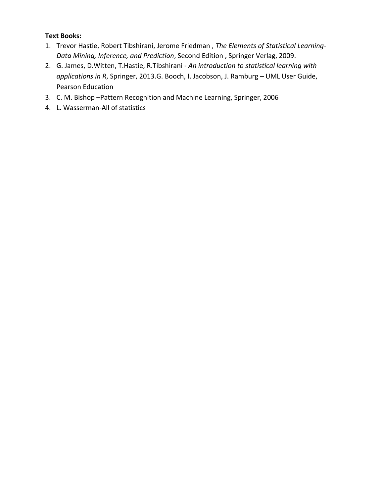- 1. Trevor Hastie, Robert Tibshirani, Jerome Friedman *, The Elements of Statistical Learning-Data Mining, Inference, and Prediction*, Second Edition , Springer Verlag, 2009.
- 2. G. James, D.Witten, T.Hastie, R.Tibshirani *An introduction to statistical learning with applications in R*, Springer, 2013.G. Booch, I. Jacobson, J. Ramburg – UML User Guide, Pearson Education
- 3. C. M. Bishop –Pattern Recognition and Machine Learning, Springer, 2006
- 4. L. Wasserman-All of statistics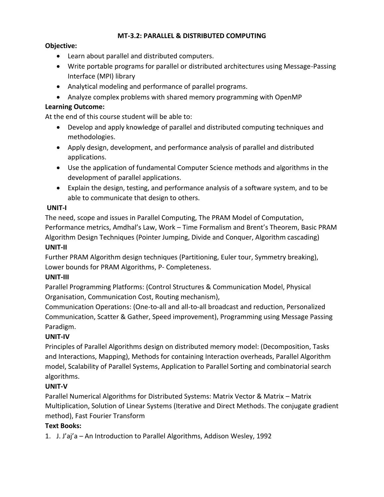#### **MT-3.2: PARALLEL & DISTRIBUTED COMPUTING**

### **Objective:**

- Learn about parallel and distributed computers.
- Write portable programs for parallel or distributed architectures using Message-Passing Interface (MPI) library
- Analytical modeling and performance of parallel programs.
- Analyze complex problems with shared memory programming with OpenMP

### **Learning Outcome:**

At the end of this course student will be able to:

- Develop and apply knowledge of parallel and distributed computing techniques and methodologies.
- Apply design, development, and performance analysis of parallel and distributed applications.
- Use the application of fundamental Computer Science methods and algorithms in the development of parallel applications.
- Explain the design, testing, and performance analysis of a software system, and to be able to communicate that design to others.

## **UNIT-I**

The need, scope and issues in Parallel Computing, The PRAM Model of Computation, Performance metrics, Amdhal's Law, Work – Time Formalism and Brent's Theorem, Basic PRAM Algorithm Design Techniques (Pointer Jumping, Divide and Conquer, Algorithm cascading)

## **UNIT-II**

Further PRAM Algorithm design techniques (Partitioning, Euler tour, Symmetry breaking), Lower bounds for PRAM Algorithms, P- Completeness.

## **UNIT-III**

Parallel Programming Platforms: (Control Structures & Communication Model, Physical Organisation, Communication Cost, Routing mechanism),

Communication Operations: (One-to-all and all-to-all broadcast and reduction, Personalized Communication, Scatter & Gather, Speed improvement), Programming using Message Passing Paradigm.

## **UNIT-IV**

Principles of Parallel Algorithms design on distributed memory model: (Decomposition, Tasks and Interactions, Mapping), Methods for containing Interaction overheads, Parallel Algorithm model, Scalability of Parallel Systems, Application to Parallel Sorting and combinatorial search algorithms.

## **UNIT-V**

Parallel Numerical Algorithms for Distributed Systems: Matrix Vector & Matrix – Matrix Multiplication, Solution of Linear Systems (Iterative and Direct Methods. The conjugate gradient method), Fast Fourier Transform

## **Text Books:**

1. J. J'aj'a – An Introduction to Parallel Algorithms, Addison Wesley, 1992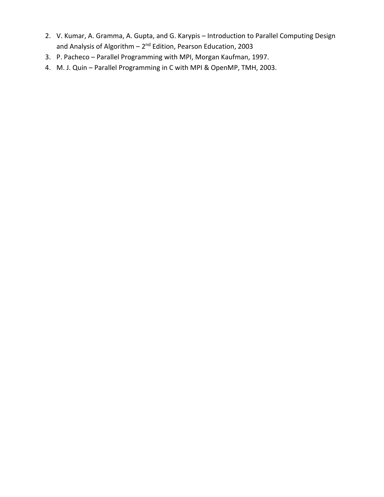- 2. V. Kumar, A. Gramma, A. Gupta, and G. Karypis Introduction to Parallel Computing Design and Analysis of Algorithm – 2<sup>nd</sup> Edition, Pearson Education, 2003
- 3. P. Pacheco Parallel Programming with MPI, Morgan Kaufman, 1997.
- 4. M. J. Quin Parallel Programming in C with MPI & OpenMP, TMH, 2003.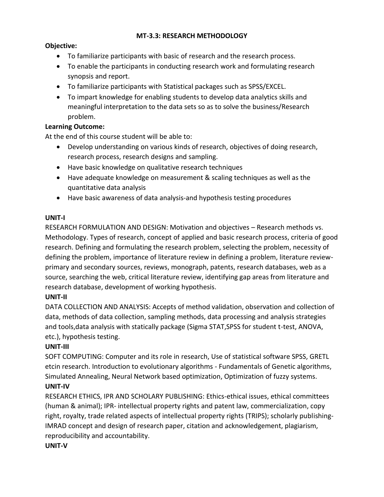#### **MT-3.3: RESEARCH METHODOLOGY**

#### **Objective:**

- To familiarize participants with basic of research and the research process.
- To enable the participants in conducting research work and formulating research synopsis and report.
- To familiarize participants with Statistical packages such as SPSS/EXCEL.
- To impart knowledge for enabling students to develop data analytics skills and meaningful interpretation to the data sets so as to solve the business/Research problem.

#### **Learning Outcome:**

At the end of this course student will be able to:

- Develop understanding on various kinds of research, objectives of doing research, research process, research designs and sampling.
- Have basic knowledge on qualitative research techniques
- Have adequate knowledge on measurement & scaling techniques as well as the quantitative data analysis
- Have basic awareness of data analysis-and hypothesis testing procedures

#### **UNIT-I**

RESEARCH FORMULATION AND DESIGN: Motivation and objectives – Research methods vs. Methodology. Types of research, concept of applied and basic research process, criteria of good research. Defining and formulating the research problem, selecting the problem, necessity of defining the problem, importance of literature review in defining a problem, literature reviewprimary and secondary sources, reviews, monograph, patents, research databases, web as a source, searching the web, critical literature review, identifying gap areas from literature and research database, development of working hypothesis.

#### **UNIT-II**

DATA COLLECTION AND ANALYSIS: Accepts of method validation, observation and collection of data, methods of data collection, sampling methods, data processing and analysis strategies and tools,data analysis with statically package (Sigma STAT,SPSS for student t-test, ANOVA, etc.), hypothesis testing.

#### **UNIT-III**

SOFT COMPUTING: Computer and its role in research, Use of statistical software SPSS, GRETL etcin research. Introduction to evolutionary algorithms - Fundamentals of Genetic algorithms, Simulated Annealing, Neural Network based optimization, Optimization of fuzzy systems. **UNIT-IV**

RESEARCH ETHICS, IPR AND SCHOLARY PUBLISHING: Ethics-ethical issues, ethical committees (human & animal); IPR- intellectual property rights and patent law, commercialization, copy right, royalty, trade related aspects of intellectual property rights (TRIPS); scholarly publishing-IMRAD concept and design of research paper, citation and acknowledgement, plagiarism, reproducibility and accountability.

#### **UNIT-V**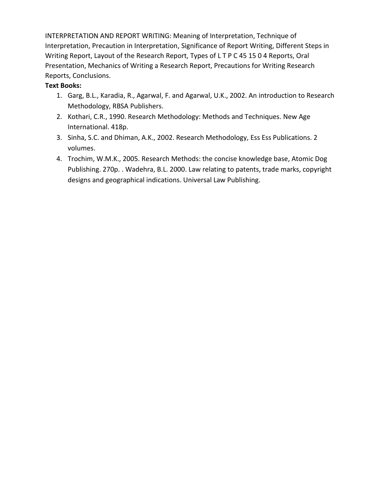INTERPRETATION AND REPORT WRITING: Meaning of Interpretation, Technique of Interpretation, Precaution in Interpretation, Significance of Report Writing, Different Steps in Writing Report, Layout of the Research Report, Types of L T P C 45 15 0 4 Reports, Oral Presentation, Mechanics of Writing a Research Report, Precautions for Writing Research Reports, Conclusions.

- 1. Garg, B.L., Karadia, R., Agarwal, F. and Agarwal, U.K., 2002. An introduction to Research Methodology, RBSA Publishers.
- 2. Kothari, C.R., 1990. Research Methodology: Methods and Techniques. New Age International. 418p.
- 3. Sinha, S.C. and Dhiman, A.K., 2002. Research Methodology, Ess Ess Publications. 2 volumes.
- 4. Trochim, W.M.K., 2005. Research Methods: the concise knowledge base, Atomic Dog Publishing. 270p. . Wadehra, B.L. 2000. Law relating to patents, trade marks, copyright designs and geographical indications. Universal Law Publishing.